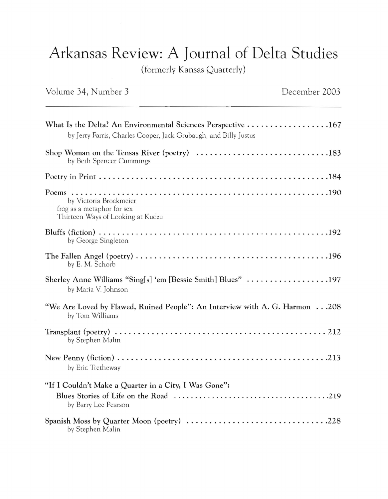## Arkansas Review: A Journal of Delta Studies

(formerly Kansas Quarterly)

## Volume 34, Number 3

 $\left\langle \mathbf{S}\right\rangle$ 

 $\mathcal{A}$ 

| What Is the Delta? An Environmental Sciences Perspective $\ldots \ldots \ldots \ldots \ldots \ldots 167$<br>by Jerry Farris, Charles Cooper, Jack Grubaugh, and Billy Justus |
|------------------------------------------------------------------------------------------------------------------------------------------------------------------------------|
| Shop Woman on the Tensas River (poetry) 183<br>by Beth Spencer Cummings                                                                                                      |
|                                                                                                                                                                              |
| by Victoria Brockmeier<br>frog as a metaphor for sex<br>Thirteen Ways of Looking at Kudzu                                                                                    |
| by George Singleton                                                                                                                                                          |
| by E. M. Schorb                                                                                                                                                              |
| Sherley Anne Williams "Sing[s] 'em [Bessie Smith] Blues" 197<br>by Maria V. Johnson                                                                                          |
| "We Are Loved by Flawed, Ruined People": An Interview with A. G. Harmon208<br>by Tom Williams                                                                                |
| by Stephen Malin                                                                                                                                                             |
| by Eric Tretheway                                                                                                                                                            |
| "If I Couldn't Make a Quarter in a City, I Was Gone":<br>by Barry Lee Pearson                                                                                                |
| Spanish Moss by Quarter Moon (poetry) 228<br>by Stephen Malin                                                                                                                |